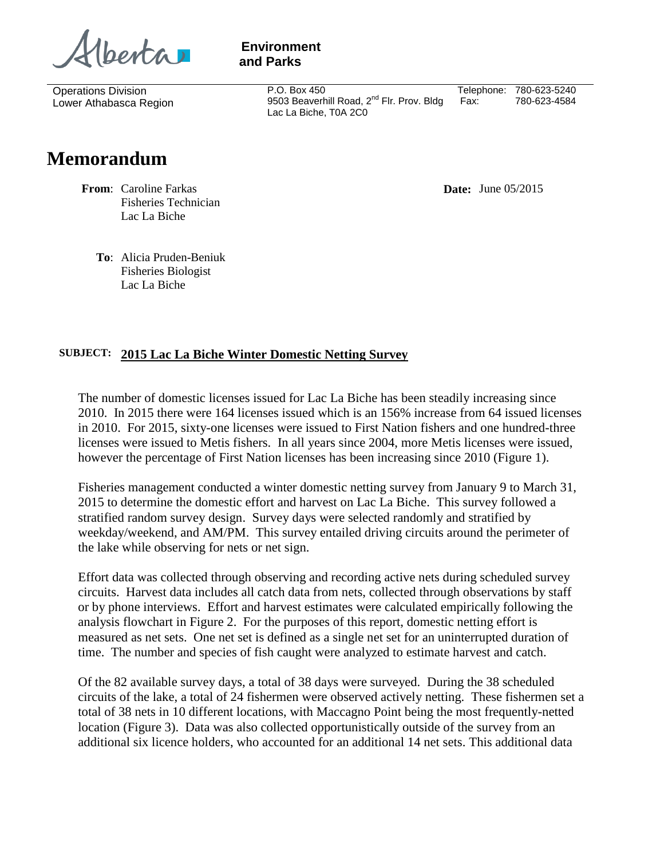berta 1

 **Environment and Parks**

> P.O. Box 450 9503 Beaverhill Road, 2<sup>nd</sup> Flr. Prov. Bldg Lac La Biche, T0A 2C0 Telephone: 780-623-5240 Fax: 780-623-4584

## **Memorandum**

Operations Division Lower Athabasca Region

> **From**: Caroline Farkas Fisheries Technician Lac La Biche

**Date:** June 05/2015

**To**: Alicia Pruden-Beniuk Fisheries Biologist Lac La Biche

## **SUBJECT: 2015 Lac La Biche Winter Domestic Netting Survey**

The number of domestic licenses issued for Lac La Biche has been steadily increasing since 2010. In 2015 there were 164 licenses issued which is an 156% increase from 64 issued licenses in 2010. For 2015, sixty-one licenses were issued to First Nation fishers and one hundred-three licenses were issued to Metis fishers. In all years since 2004, more Metis licenses were issued, however the percentage of First Nation licenses has been increasing since 2010 (Figure 1).

Fisheries management conducted a winter domestic netting survey from January 9 to March 31, 2015 to determine the domestic effort and harvest on Lac La Biche. This survey followed a stratified random survey design. Survey days were selected randomly and stratified by weekday/weekend, and AM/PM. This survey entailed driving circuits around the perimeter of the lake while observing for nets or net sign.

Effort data was collected through observing and recording active nets during scheduled survey circuits. Harvest data includes all catch data from nets, collected through observations by staff or by phone interviews. Effort and harvest estimates were calculated empirically following the analysis flowchart in Figure 2. For the purposes of this report, domestic netting effort is measured as net sets. One net set is defined as a single net set for an uninterrupted duration of time. The number and species of fish caught were analyzed to estimate harvest and catch.

Of the 82 available survey days, a total of 38 days were surveyed. During the 38 scheduled circuits of the lake, a total of 24 fishermen were observed actively netting. These fishermen set a total of 38 nets in 10 different locations, with Maccagno Point being the most frequently-netted location (Figure 3). Data was also collected opportunistically outside of the survey from an additional six licence holders, who accounted for an additional 14 net sets. This additional data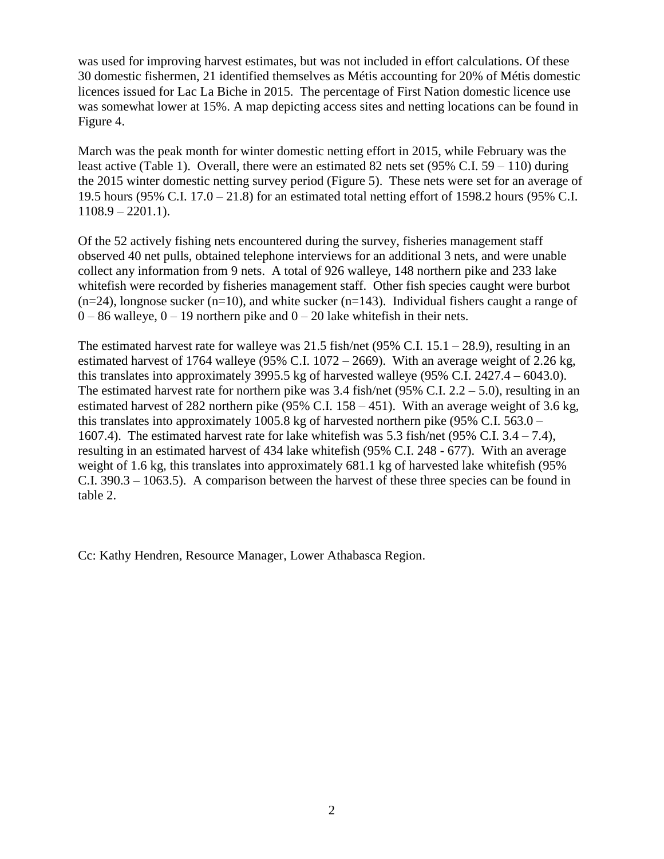was used for improving harvest estimates, but was not included in effort calculations. Of these 30 domestic fishermen, 21 identified themselves as Métis accounting for 20% of Métis domestic licences issued for Lac La Biche in 2015. The percentage of First Nation domestic licence use was somewhat lower at 15%. A map depicting access sites and netting locations can be found in Figure 4.

March was the peak month for winter domestic netting effort in 2015, while February was the least active (Table 1). Overall, there were an estimated 82 nets set  $(95\% \text{ C.I. } 59 - 110)$  during the 2015 winter domestic netting survey period (Figure 5). These nets were set for an average of 19.5 hours (95% C.I. 17.0 – 21.8) for an estimated total netting effort of 1598.2 hours (95% C.I.  $1108.9 - 2201.1$ .

Of the 52 actively fishing nets encountered during the survey, fisheries management staff observed 40 net pulls, obtained telephone interviews for an additional 3 nets, and were unable collect any information from 9 nets. A total of 926 walleye, 148 northern pike and 233 lake whitefish were recorded by fisheries management staff. Other fish species caught were burbot  $(n=24)$ , longnose sucker  $(n=10)$ , and white sucker  $(n=143)$ . Individual fishers caught a range of  $0 - 86$  walleye,  $0 - 19$  northern pike and  $0 - 20$  lake whitefish in their nets.

The estimated harvest rate for walleye was 21.5 fish/net  $(95\% \text{ C.I. } 15.1 - 28.9)$ , resulting in an estimated harvest of 1764 walleye (95% C.I. 1072 – 2669). With an average weight of 2.26 kg, this translates into approximately 3995.5 kg of harvested walleye  $(95\% \text{ C.I. } 2427.4 - 6043.0)$ . The estimated harvest rate for northern pike was  $3.4$  fish/net (95% C.I.  $2.2 - 5.0$ ), resulting in an estimated harvest of 282 northern pike  $(95\% \text{ C.I. } 158 - 451)$ . With an average weight of 3.6 kg, this translates into approximately 1005.8 kg of harvested northern pike (95% C.I. 563.0 – 1607.4). The estimated harvest rate for lake whitefish was 5.3 fish/net (95% C.I. 3.4 – 7.4), resulting in an estimated harvest of 434 lake whitefish (95% C.I. 248 - 677). With an average weight of 1.6 kg, this translates into approximately 681.1 kg of harvested lake whitefish (95% C.I. 390.3 – 1063.5). A comparison between the harvest of these three species can be found in table 2.

Cc: Kathy Hendren, Resource Manager, Lower Athabasca Region.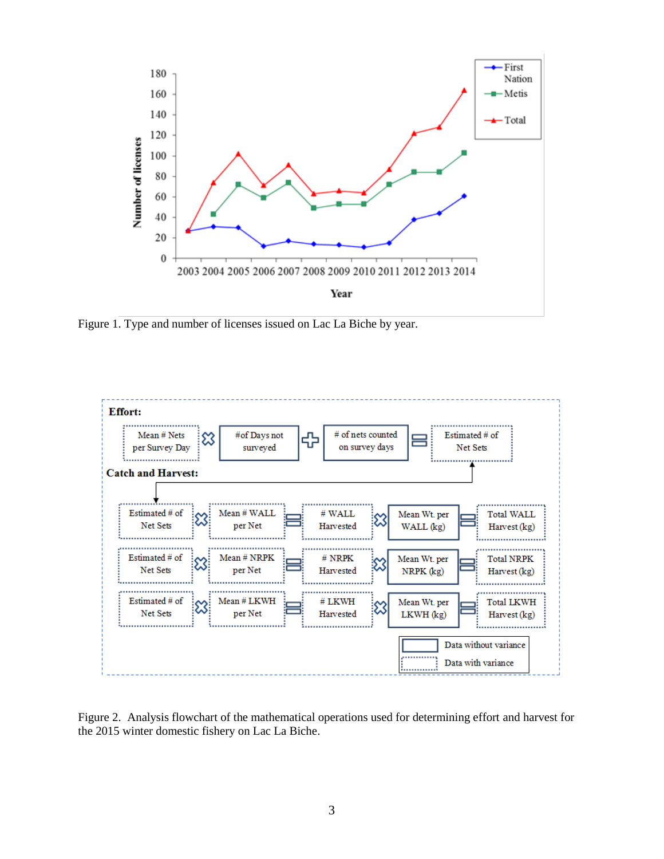

Figure 1. Type and number of licenses issued on Lac La Biche by year.



Figure 2. Analysis flowchart of the mathematical operations used for determining effort and harvest for the 2015 winter domestic fishery on Lac La Biche.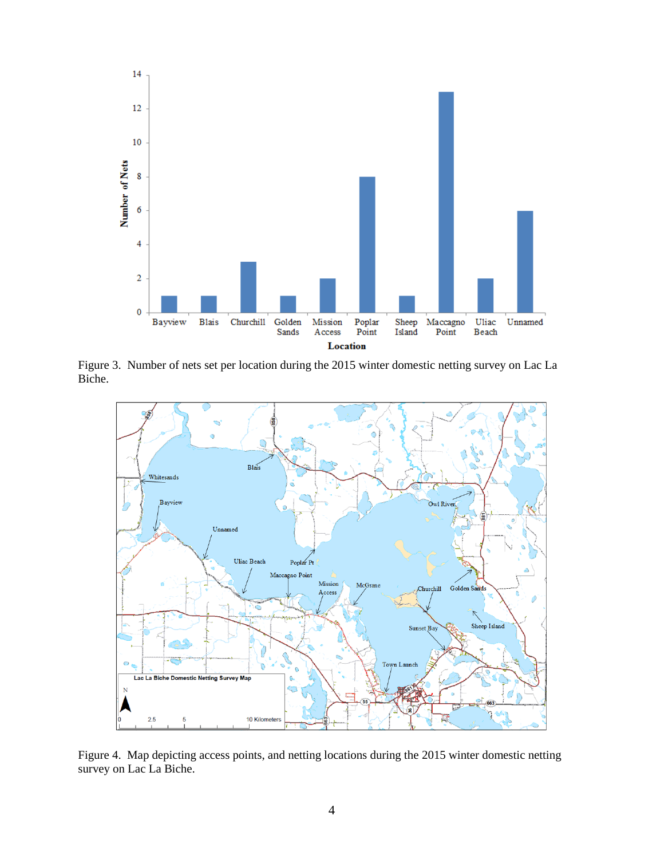

Figure 3. Number of nets set per location during the 2015 winter domestic netting survey on Lac La Biche.



Figure 4. Map depicting access points, and netting locations during the 2015 winter domestic netting survey on Lac La Biche.